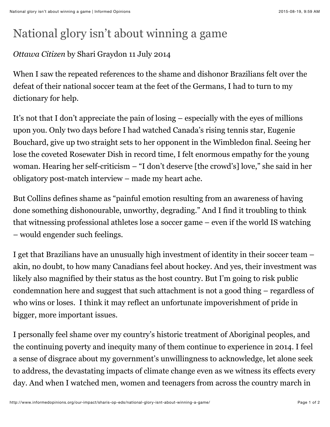## National glory isn't about winning a game

## *Ottawa Citizen* by Shari Graydon 11 July 2014

When I saw the repeated references to the shame and dishonor Brazilians felt over the defeat of their national soccer team at the feet of the Germans, I had to turn to my dictionary for help.

It's not that I don't appreciate the pain of losing – especially with the eyes of millions upon you. Only two days before I had watched Canada's rising tennis star, Eugenie Bouchard, give up two straight sets to her opponent in the Wimbledon final. Seeing her lose the coveted Rosewater Dish in record time, I felt enormous empathy for the young woman. Hearing her self-criticism – "I don't deserve [the crowd's] love," she said in her obligatory post-match interview – made my heart ache.

But Collins defines shame as "painful emotion resulting from an awareness of having done something dishonourable, unworthy, degrading." And I find it troubling to think that witnessing professional athletes lose a soccer game – even if the world IS watching – would engender such feelings.

I get that Brazilians have an unusually high investment of identity in their soccer team – akin, no doubt, to how many Canadians feel about hockey. And yes, their investment was likely also magnified by their status as the host country. But I'm going to risk public condemnation here and suggest that such attachment is not a good thing – regardless of who wins or loses. I think it may reflect an unfortunate impoverishment of pride in bigger, more important issues.

I personally feel shame over my country's historic treatment of Aboriginal peoples, and the continuing poverty and inequity many of them continue to experience in 2014. I feel a sense of disgrace about my government's unwillingness to acknowledge, let alone seek to address, the devastating impacts of climate change even as we witness its effects every day. And when I watched men, women and teenagers from across the country march in